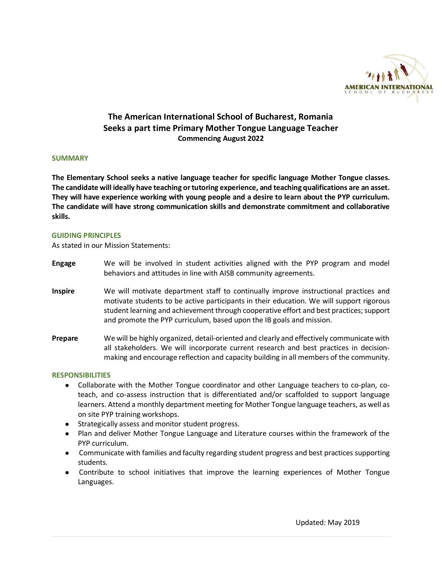

# **The American International School of Bucharest, Romania Seeks a part time Primary Mother Tongue Language Teacher Commencing August 2022**

#### **SUMMARY**

**The Elementary School seeks a native language teacher for specific language Mother Tongue classes. The candidate will ideally have teaching or tutoring experience, and teaching qualifications are an asset. They will have experience working with young people and a desire to learn about the PYP curriculum. The candidate will have strong communication skills and demonstrate commitment and collaborative skills.**

#### **GUIDING PRINCIPLES**

As stated in our Mission Statements:

- **Engage** We will be involved in student activities aligned with the PYP program and model behaviors and attitudes in line with AISB community agreements.
- **Inspire** We will motivate department staff to continually improve instructional practices and motivate students to be active participants in their education. We will support rigorous student learning and achievement through cooperative effort and best practices; support and promote the PYP curriculum, based upon the IB goals and mission.
- **Prepare** We will be highly organized, detail-oriented and clearly and effectively communicate with all stakeholders. We will incorporate current research and best practices in decisionmaking and encourage reflection and capacity building in all members of the community.

## **RESPONSIBILITIES**

- Collaborate with the Mother Tongue coordinator and other Language teachers to co-plan, coteach, and co-assess instruction that is differentiated and/or scaffolded to support language learners. Attend a monthly department meeting for Mother Tongue language teachers, as well as on site PYP training workshops.
- Strategically assess and monitor student progress.
- Plan and deliver Mother Tongue Language and Literature courses within the framework of the PYP curriculum.
- Communicate with families and faculty regarding student progress and best practices supporting students.
- Contribute to school initiatives that improve the learning experiences of Mother Tongue Languages.